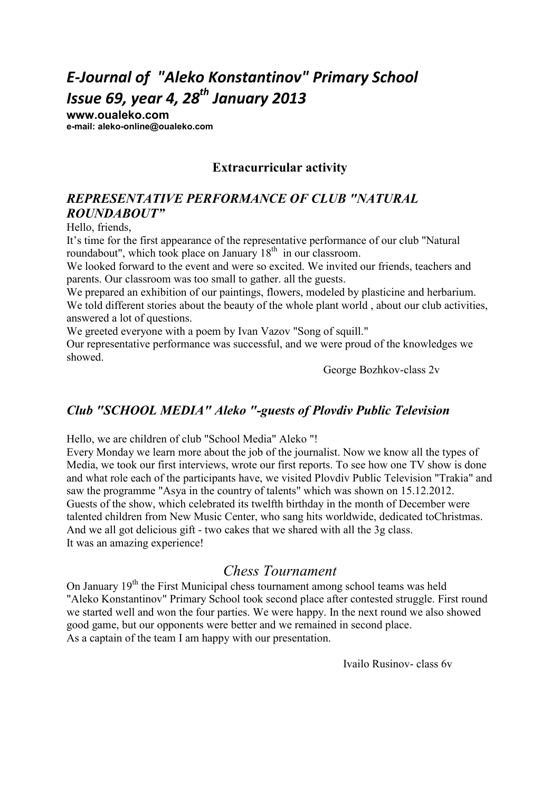# *E-Journal of "Aleko Konstantinov" Primary School Issue 69, year 4, 28th January 2013*

**www.oualeko.com е-mail: aleko-online@oualeko.com** 

### **Extracurricular activity**

### *REPRESETATIVE PERFORMACE OF CLUB "ATURAL ROUDABOUT"*

Hello, friends,

It's time for the first appearance of the representative performance of our club "Natural roundabout", which took place on January  $18<sup>th</sup>$  in our classroom.

We looked forward to the event and were so excited. We invited our friends, teachers and parents. Our classroom was too small to gather. all the guests.

We prepared an exhibition of our paintings, flowers, modeled by plasticine and herbarium. We told different stories about the beauty of the whole plant world, about our club activities, answered a lot of questions.

We greeted everyone with a poem by Ivan Vazov "Song of squill."

Our representative performance was successful, and we were proud of the knowledges we showed.

George Bozhkov-class 2v

### *Club "SCHOOL MEDIA" Aleko "-guests of Plovdiv Public Television*

Hello, we are children of club "School Media" Aleko "!

Every Monday we learn more about the job of the journalist. Now we know all the types of Media, we took our first interviews, wrote our first reports. To see how one TV show is done and what role each of the participants have, we visited Plovdiv Public Television "Trakia" and saw the programme "Asya in the country of talents" which was shown on 15.12.2012. Guests of the show, which celebrated its twelfth birthday in the month of December were talented children from New Music Center, who sang hits worldwide, dedicated toChristmas. And we all got delicious gift - two cakes that we shared with all the 3g class. It was an amazing experience!

### *Chess Tournament*

On January  $19<sup>th</sup>$  the First Municipal chess tournament among school teams was held "Aleko Konstantinov" Primary School took second place after contested struggle. First round we started well and won the four parties. We were happy. In the next round we also showed good game, but our opponents were better and we remained in second place. As a captain of the team I am happy with our presentation.

Ivailo Rusinov- class 6v